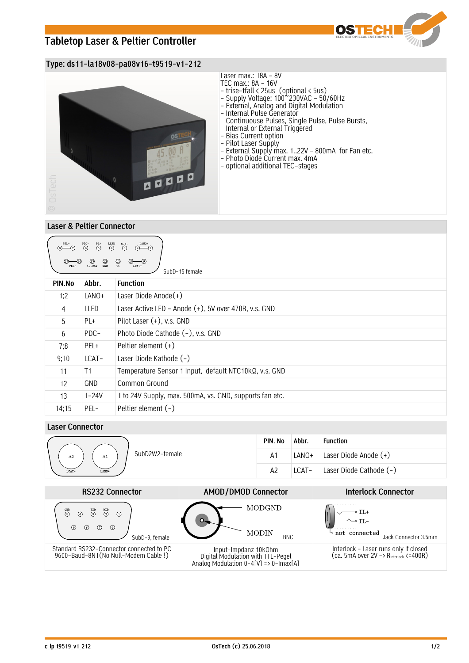# **Tabletop Laser & Peltier Controller**



## **Type: ds11-la18v08-pa08v16-t9519-v1-212**



### **Laser & Peltier Connector**

| LANO+<br>PEL+<br>$\overset{\text{PDC}-}{\odot}$<br>$\overset{\text{LED}}{\textcircled{\textcirc}}$<br>n.c.<br>$\overline{\bigodot}^{\text{PL+}}$<br>$\odot$<br>$\circledcirc$ - $\circledcirc$<br>$\bigoplus_{T1}$<br>$\bigcirc$<br>$\bigcirc$<br>$\bigcirc$<br>$\bigcirc$<br>$\circledcirc$<br>$(13)$<br>124V<br>LCAT-<br>SubD-15 female |            |                                                         |
|-------------------------------------------------------------------------------------------------------------------------------------------------------------------------------------------------------------------------------------------------------------------------------------------------------------------------------------------|------------|---------------------------------------------------------|
| PIN.No                                                                                                                                                                                                                                                                                                                                    | Abbr.      | <b>Function</b>                                         |
| 1:2                                                                                                                                                                                                                                                                                                                                       | LANO+      | Laser Diode Anode $(+)$                                 |
| 4                                                                                                                                                                                                                                                                                                                                         | LLED       | Laser Active LED - Anode (+), 5V over 470R, v.s. GND    |
| 5                                                                                                                                                                                                                                                                                                                                         | PL+        | Pilot Laser (+), v.s. GND                               |
| 6                                                                                                                                                                                                                                                                                                                                         | PDC-       | Photo Diode Cathode (-), v.s. GND                       |
| 7;8                                                                                                                                                                                                                                                                                                                                       | PEL+       | Peltier element $(+)$                                   |
| 9;10                                                                                                                                                                                                                                                                                                                                      | LCAT-      | Laser Diode Kathode (-)                                 |
| 11                                                                                                                                                                                                                                                                                                                                        | T1         | Temperature Sensor 1 Input, default NTC10kQ, v.s. GND   |
| 12                                                                                                                                                                                                                                                                                                                                        | <b>GND</b> | Common Ground                                           |
| 13                                                                                                                                                                                                                                                                                                                                        | $1 - 24V$  | 1 to 24V Supply, max. 500mA, vs. GND, supports fan etc. |
| 14;15                                                                                                                                                                                                                                                                                                                                     | PEL-       | Peltier element (-)                                     |

### **Laser Connector**